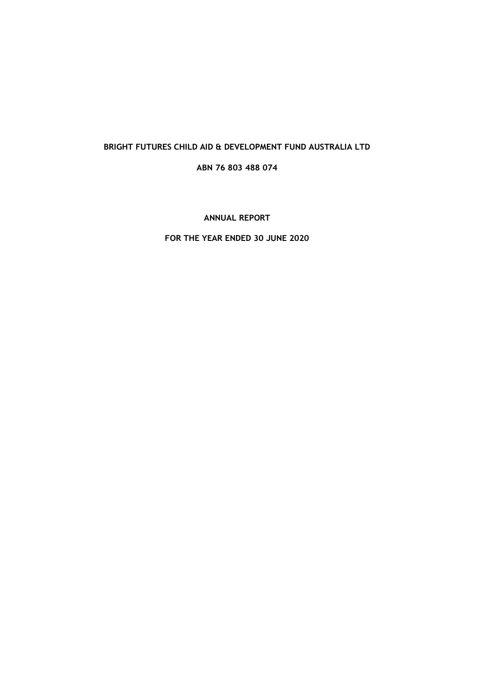# **BRIGHT FUTURES CHILD AID & DEVELOPMENT FUND AUSTRALIA LTD**

# **ABN 76 803 488 074**

# **ANNUAL REPORT**

# **FOR THE YEAR ENDED 30 JUNE 2020**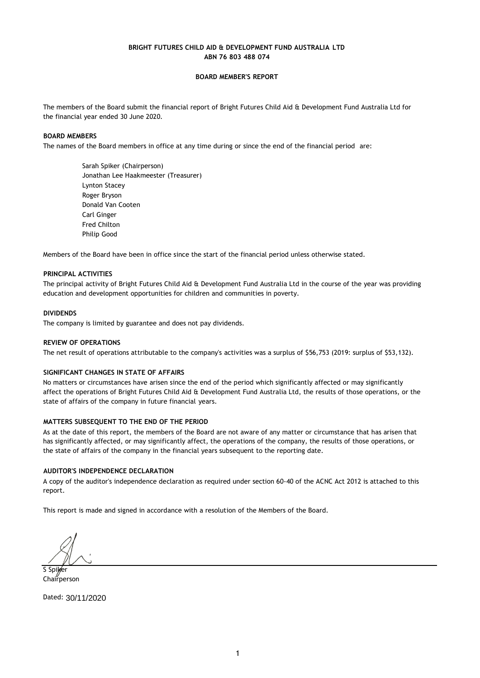### **BOARD MEMBER'S REPORT**

The members of the Board submit the financial report of Bright Futures Child Aid & Development Fund Australia Ltd for the financial year ended 30 June 2020.

#### **BOARD MEMBERS**

The names of the Board members in office at any time during or since the end of the financial period are:

Sarah Spiker (Chairperson) Jonathan Lee Haakmeester (Treasurer) Lynton Stacey Roger Bryson Donald Van Cooten Carl Ginger Fred Chilton Philip Good

Members of the Board have been in office since the start of the financial period unless otherwise stated.

#### **PRINCIPAL ACTIVITIES**

The principal activity of Bright Futures Child Aid & Development Fund Australia Ltd in the course of the year was providing education and development opportunities for children and communities in poverty.

#### **DIVIDENDS**

The company is limited by guarantee and does not pay dividends.

#### **REVIEW OF OPERATIONS**

The net result of operations attributable to the company's activities was a surplus of \$56,753 (2019: surplus of \$53,132).

#### **SIGNIFICANT CHANGES IN STATE OF AFFAIRS**

No matters or circumstances have arisen since the end of the period which significantly affected or may significantly affect the operations of Bright Futures Child Aid & Development Fund Australia Ltd, the results of those operations, or the state of affairs of the company in future financial years.

#### **MATTERS SUBSEQUENT TO THE END OF THE PERIOD**

As at the date of this report, the members of the Board are not aware of any matter or circumstance that has arisen that has significantly affected, or may significantly affect, the operations of the company, the results of those operations, or the state of affairs of the company in the financial years subsequent to the reporting date.

## **AUDITOR'S INDEPENDENCE DECLARATION**

A copy of the auditor's independence declaration as required under section 60-40 of the ACNC Act 2012 is attached to this report.

This report is made and signed in accordance with a resolution of the Members of the Board.

S Spiker Chairperson

Dated: 30/11/2020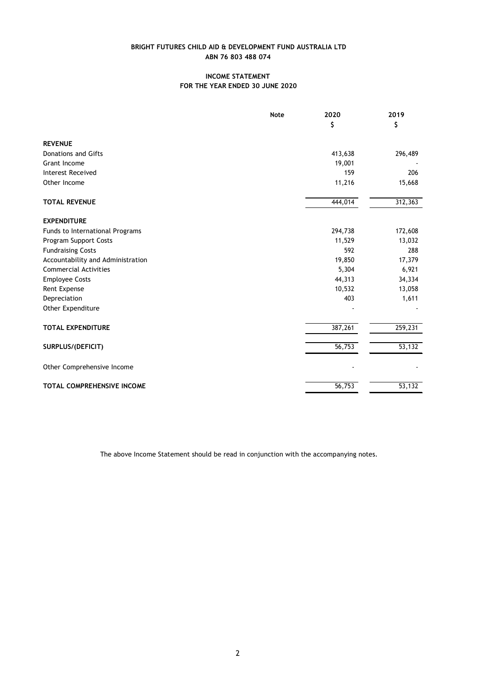# **INCOME STATEMENT FOR THE YEAR ENDED 30 JUNE 2020**

|                                   | <b>Note</b> | 2020    | 2019    |
|-----------------------------------|-------------|---------|---------|
|                                   |             | \$      | \$      |
| <b>REVENUE</b>                    |             |         |         |
| Donations and Gifts               |             | 413,638 | 296,489 |
| Grant Income                      |             | 19,001  |         |
| <b>Interest Received</b>          |             | 159     | 206     |
| Other Income                      |             | 11,216  | 15,668  |
| <b>TOTAL REVENUE</b>              |             | 444,014 | 312,363 |
| <b>EXPENDITURE</b>                |             |         |         |
| Funds to International Programs   |             | 294,738 | 172,608 |
| Program Support Costs             |             | 11,529  | 13,032  |
| <b>Fundraising Costs</b>          |             | 592     | 288     |
| Accountability and Administration |             | 19,850  | 17,379  |
| <b>Commercial Activities</b>      |             | 5,304   | 6,921   |
| <b>Employee Costs</b>             |             | 44,313  | 34,334  |
| Rent Expense                      |             | 10,532  | 13,058  |
| Depreciation                      |             | 403     | 1,611   |
| Other Expenditure                 |             |         |         |
| <b>TOTAL EXPENDITURE</b>          |             | 387,261 | 259,231 |
| SURPLUS/(DEFICIT)                 |             | 56,753  | 53,132  |
| Other Comprehensive Income        |             |         |         |
| <b>TOTAL COMPREHENSIVE INCOME</b> |             | 56,753  | 53,132  |

The above Income Statement should be read in conjunction with the accompanying notes.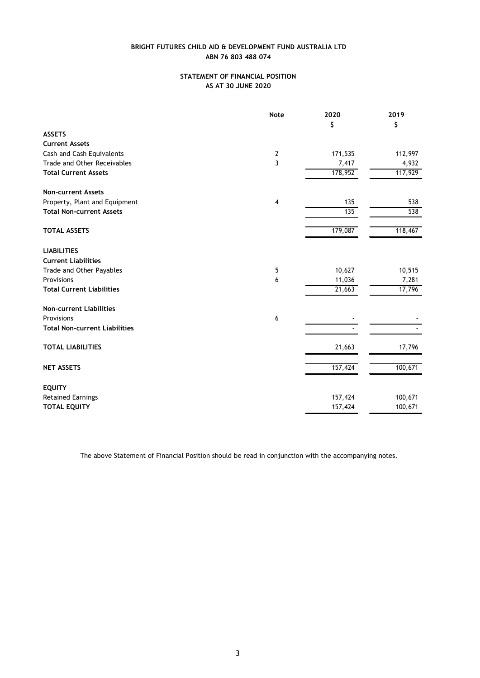# **STATEMENT OF FINANCIAL POSITION AS AT 30 JUNE 2020**

|                                                | <b>Note</b>    | 2020                | 2019    |
|------------------------------------------------|----------------|---------------------|---------|
|                                                |                | \$                  | \$      |
| <b>ASSETS</b>                                  |                |                     |         |
| <b>Current Assets</b>                          |                |                     |         |
| Cash and Cash Equivalents                      | $\mathbf{2}$   | 171,535             | 112,997 |
| Trade and Other Receivables                    | 3              | 7,417               | 4,932   |
| <b>Total Current Assets</b>                    |                | 178,952             | 117,929 |
| <b>Non-current Assets</b>                      |                |                     |         |
| Property, Plant and Equipment                  | $\overline{4}$ | 135                 | 538     |
| <b>Total Non-current Assets</b>                |                | 135                 | 538     |
| <b>TOTAL ASSETS</b>                            |                | 179,087             | 118,467 |
| <b>LIABILITIES</b>                             |                |                     |         |
| <b>Current Liabilities</b>                     |                |                     |         |
| Trade and Other Payables                       | 5              | 10,627              | 10,515  |
| Provisions<br><b>Total Current Liabilities</b> | 6              | 11,036              | 7,281   |
|                                                |                | $\overline{21,663}$ | 17,796  |
| <b>Non-current Liabilities</b>                 |                |                     |         |
| Provisions                                     | 6              |                     |         |
| <b>Total Non-current Liabilities</b>           |                |                     |         |
| <b>TOTAL LIABILITIES</b>                       |                | 21,663              | 17,796  |
| <b>NET ASSETS</b>                              |                | 157,424             | 100,671 |
| <b>EQUITY</b>                                  |                |                     |         |
| <b>Retained Earnings</b>                       |                | 157,424             | 100,671 |
| <b>TOTAL EQUITY</b>                            |                | 157,424             | 100,671 |

The above Statement of Financial Position should be read in conjunction with the accompanying notes.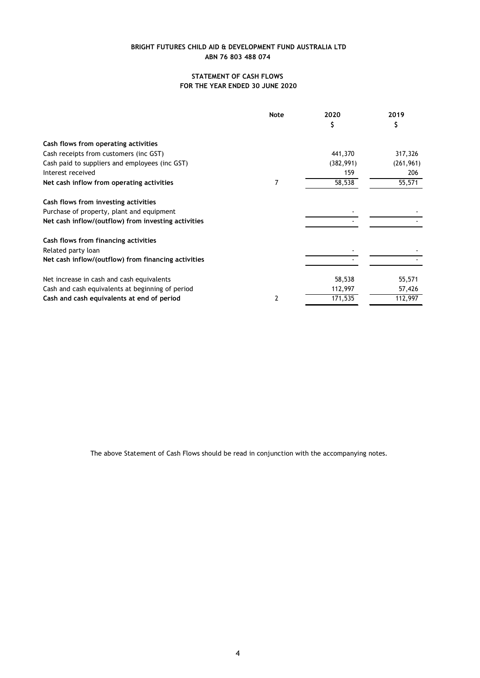# **STATEMENT OF CASH FLOWS FOR THE YEAR ENDED 30 JUNE 2020**

|                                                     | <b>Note</b> | 2020       | 2019       |
|-----------------------------------------------------|-------------|------------|------------|
|                                                     |             | \$         |            |
| Cash flows from operating activities                |             |            |            |
| Cash receipts from customers (inc GST)              |             | 441,370    | 317,326    |
| Cash paid to suppliers and employees (inc GST)      |             | (382, 991) | (261, 961) |
| Interest received                                   |             | 159        | 206        |
| Net cash inflow from operating activities           | 7           | 58,538     | 55,571     |
| Cash flows from investing activities                |             |            |            |
| Purchase of property, plant and equipment           |             |            |            |
| Net cash inflow/(outflow) from investing activities |             |            |            |
| Cash flows from financing activities                |             |            |            |
| Related party loan                                  |             |            |            |
| Net cash inflow/(outflow) from financing activities |             |            |            |
| Net increase in cash and cash equivalents           |             | 58,538     | 55,571     |
| Cash and cash equivalents at beginning of period    |             | 112,997    | 57,426     |
| Cash and cash equivalents at end of period          | 2           | 171,535    | 112,997    |

The above Statement of Cash Flows should be read in conjunction with the accompanying notes.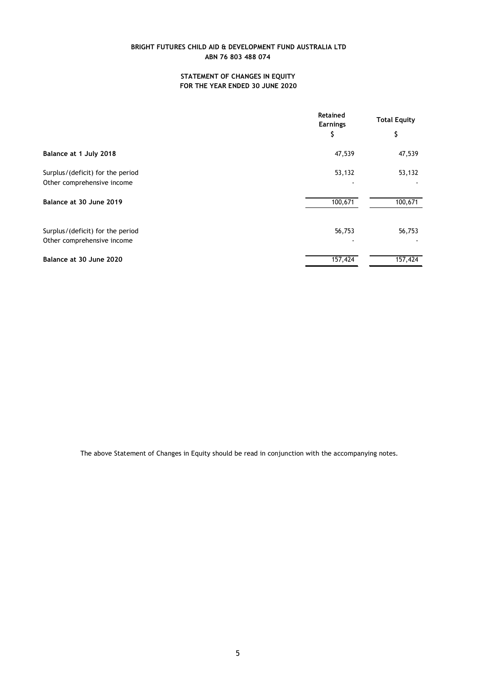# **STATEMENT OF CHANGES IN EQUITY FOR THE YEAR ENDED 30 JUNE 2020**

|                                                                | <b>Retained</b><br><b>Earnings</b> | <b>Total Equity</b> |  |
|----------------------------------------------------------------|------------------------------------|---------------------|--|
|                                                                | \$                                 | \$                  |  |
| Balance at 1 July 2018                                         | 47,539                             | 47,539              |  |
| Surplus/(deficit) for the period<br>Other comprehensive income | 53,132                             | 53,132              |  |
| Balance at 30 June 2019                                        | 100,671                            | 100,671             |  |
| Surplus/(deficit) for the period<br>Other comprehensive income | 56,753                             | 56,753              |  |
| Balance at 30 June 2020                                        | 157,424                            | 157,424             |  |

The above Statement of Changes in Equity should be read in conjunction with the accompanying notes.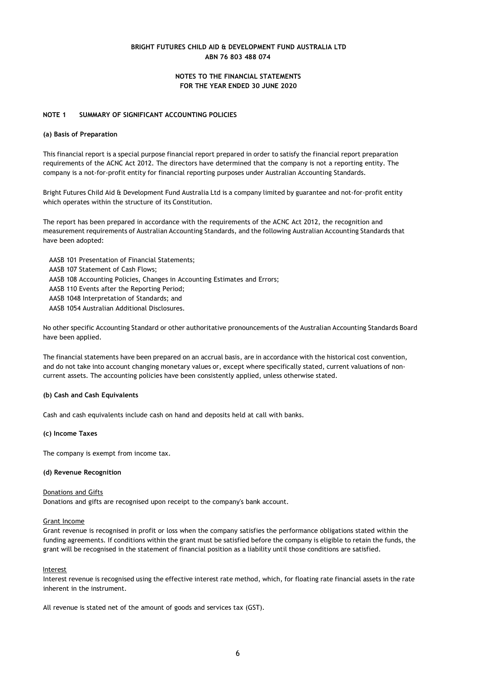## **NOTES TO THE FINANCIAL STATEMENTS FOR THE YEAR ENDED 30 JUNE 2020**

#### **NOTE 1 SUMMARY OF SIGNIFICANT ACCOUNTING POLICIES**

#### **(a) Basis of Preparation**

This financial report is a special purpose financial report prepared in order to satisfy the financial report preparation requirements of the ACNC Act 2012. The directors have determined that the company is not a reporting entity. The company is a not-for-profit entity for financial reporting purposes under Australian Accounting Standards.

Bright Futures Child Aid & Development Fund Australia Ltd is a company limited by guarantee and not-for-profit entity which operates within the structure of its Constitution.

The report has been prepared in accordance with the requirements of the ACNC Act 2012, the recognition and measurement requirements of Australian Accounting Standards, and the following Australian Accounting Standards that have been adopted:

AASB 101 Presentation of Financial Statements;

- AASB 107 Statement of Cash Flows;
- AASB 108 Accounting Policies, Changes in Accounting Estimates and Errors;
- AASB 110 Events after the Reporting Period;
- AASB 1048 Interpretation of Standards; and
- AASB 1054 Australian Additional Disclosures.

No other specific Accounting Standard or other authoritative pronouncements of the Australian Accounting Standards Board have been applied.

The financial statements have been prepared on an accrual basis, are in accordance with the historical cost convention, and do not take into account changing monetary values or, except where specifically stated, current valuations of noncurrent assets. The accounting policies have been consistently applied, unless otherwise stated.

#### **(b) Cash and Cash Equivalents**

Cash and cash equivalents include cash on hand and deposits held at call with banks.

#### **(c) Income Taxes**

The company is exempt from income tax.

#### **(d) Revenue Recognition**

#### Donations and Gifts

Donations and gifts are recognised upon receipt to the company's bank account.

#### Grant Income

Grant revenue is recognised in profit or loss when the company satisfies the performance obligations stated within the funding agreements. If conditions within the grant must be satisfied before the company is eligible to retain the funds, the grant will be recognised in the statement of financial position as a liability until those conditions are satisfied.

#### Interest

Interest revenue is recognised using the effective interest rate method, which, for floating rate financial assets in the rate inherent in the instrument.

All revenue is stated net of the amount of goods and services tax (GST).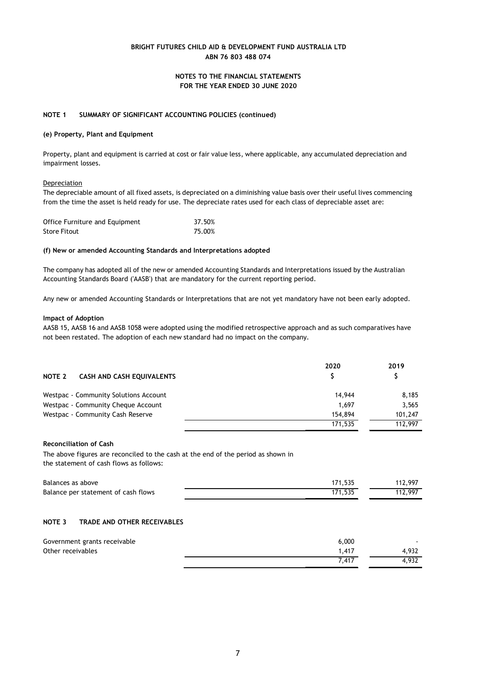## **NOTES TO THE FINANCIAL STATEMENTS FOR THE YEAR ENDED 30 JUNE 2020**

### **NOTE 1 SUMMARY OF SIGNIFICANT ACCOUNTING POLICIES (continued)**

#### **(e) Property, Plant and Equipment**

Property, plant and equipment is carried at cost or fair value less, where applicable, any accumulated depreciation and impairment losses.

#### **Depreciation**

The depreciable amount of all fixed assets, is depreciated on a diminishing value basis over their useful lives commencing from the time the asset is held ready for use. The depreciate rates used for each class of depreciable asset are:

| Office Furniture and Equipment | 37.50% |
|--------------------------------|--------|
| <b>Store Fitout</b>            | 75.00% |

#### **(f) New or amended Accounting Standards and Interpretations adopted**

The company has adopted all of the new or amended Accounting Standards and Interpretations issued by the Australian Accounting Standards Board ('AASB') that are mandatory for the current reporting period.

Any new or amended Accounting Standards or Interpretations that are not yet mandatory have not been early adopted.

#### **Impact of Adoption**

AASB 15, AASB 16 and AASB 1058 were adopted using the modified retrospective approach and as such comparatives have not been restated. The adoption of each new standard had no impact on the company.

| NOTE 2<br><b>CASH AND CASH EQUIVALENTS</b> | 2020    | 2019    |
|--------------------------------------------|---------|---------|
| Westpac - Community Solutions Account      | 14,944  | 8,185   |
| Westpac - Community Cheque Account         | 1.697   | 3,565   |
| Westpac - Community Cash Reserve           | 154,894 | 101,247 |
|                                            | 171,535 | 112,997 |

## **Reconciliation of Cash**

The above figures are reconciled to the cash at the end of the period as shown in the statement of cash flows as follows:

| Balances as above                   | 171,535 | 112.997 |
|-------------------------------------|---------|---------|
| Balance per statement of cash flows | 171.535 | 112,997 |

#### **NOTE 3 TRADE AND OTHER RECEIVABLES**

| Government grants receivable | 6,000 |       |
|------------------------------|-------|-------|
| Other receivables            | 1,417 | 4.932 |
|                              | 7.417 | 4,932 |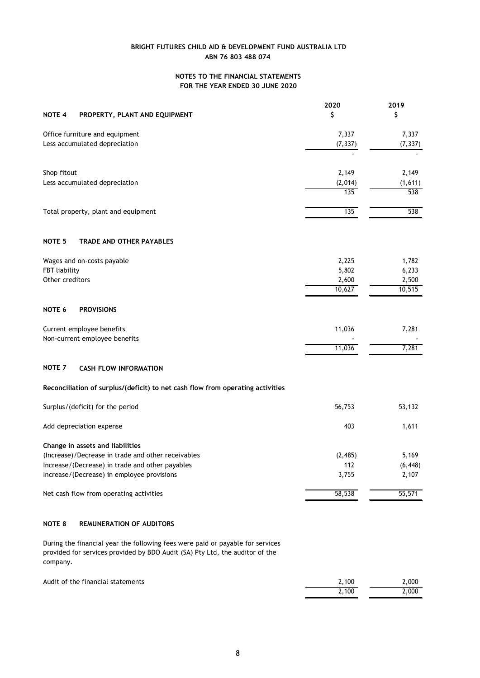# **NOTES TO THE FINANCIAL STATEMENTS FOR THE YEAR ENDED 30 JUNE 2020**

|                                                                                | 2020     | 2019     |
|--------------------------------------------------------------------------------|----------|----------|
| NOTE 4<br>PROPERTY, PLANT AND EQUIPMENT                                        | \$       | \$       |
| Office furniture and equipment                                                 | 7,337    | 7,337    |
| Less accumulated depreciation                                                  | (7, 337) | (7, 337) |
|                                                                                |          |          |
| Shop fitout                                                                    | 2,149    | 2,149    |
| Less accumulated depreciation                                                  | (2,014)  | (1,611)  |
|                                                                                | 135      | 538      |
| Total property, plant and equipment                                            | 135      | 538      |
| NOTE <sub>5</sub><br><b>TRADE AND OTHER PAYABLES</b>                           |          |          |
| Wages and on-costs payable                                                     | 2,225    | 1,782    |
| FBT liability                                                                  | 5,802    | 6,233    |
| Other creditors                                                                | 2,600    | 2,500    |
|                                                                                | 10,627   | 10,515   |
| <b>NOTE 6</b><br><b>PROVISIONS</b>                                             |          |          |
| Current employee benefits                                                      | 11,036   | 7,281    |
| Non-current employee benefits                                                  |          |          |
|                                                                                | 11,036   | 7,281    |
| NOTE <sub>7</sub><br><b>CASH FLOW INFORMATION</b>                              |          |          |
| Reconciliation of surplus/(deficit) to net cash flow from operating activities |          |          |
| Surplus/(deficit) for the period                                               | 56,753   | 53,132   |
| Add depreciation expense                                                       | 403      | 1,611    |
| Change in assets and liabilities                                               |          |          |
| (Increase)/Decrease in trade and other receivables                             | (2, 485) | 5,169    |
| Increase/(Decrease) in trade and other payables                                | 112      | (6, 448) |
| Increase/(Decrease) in employee provisions                                     | 3,755    | 2,107    |
| Net cash flow from operating activities                                        | 58,538   | 55,571   |
|                                                                                |          |          |

## **NOTE 8 REMUNERATION OF AUDITORS**

During the financial year the following fees were paid or payable for services provided for services provided by BDO Audit (SA) Pty Ltd, the auditor of the company.

| Audit of the financial statements | 2.100 | 2.000         |
|-----------------------------------|-------|---------------|
|                                   | 2,100 | $\angle$ ,000 |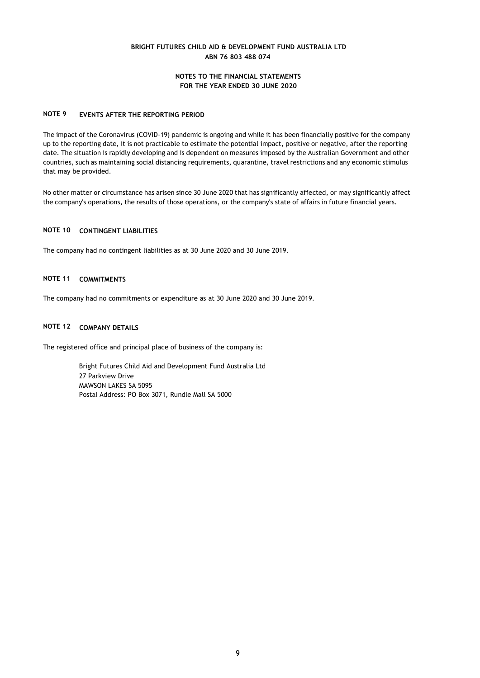## **NOTES TO THE FINANCIAL STATEMENTS FOR THE YEAR ENDED 30 JUNE 2020**

## **NOTE 9 EVENTS AFTER THE REPORTING PERIOD**

The impact of the Coronavirus (COVID-19) pandemic is ongoing and while it has been financially positive for the company up to the reporting date, it is not practicable to estimate the potential impact, positive or negative, after the reporting date. The situation is rapidly developing and is dependent on measures imposed by the Australian Government and other countries, such as maintaining social distancing requirements, quarantine, travel restrictions and any economic stimulus that may be provided.

No other matter or circumstance has arisen since 30 June 2020 that has significantly affected, or may significantly affect the company's operations, the results of those operations, or the company's state of affairs in future financial years.

#### **NOTE 10 CONTINGENT LIABILITIES**

The company had no contingent liabilities as at 30 June 2020 and 30 June 2019.

# **NOTE 11 COMMITMENTS**

The company had no commitments or expenditure as at 30 June 2020 and 30 June 2019.

## **NOTE 12 COMPANY DETAILS**

The registered office and principal place of business of the company is:

Bright Futures Child Aid and Development Fund Australia Ltd 27 Parkview Drive MAWSON LAKES SA 5095 Postal Address: PO Box 3071, Rundle Mall SA 5000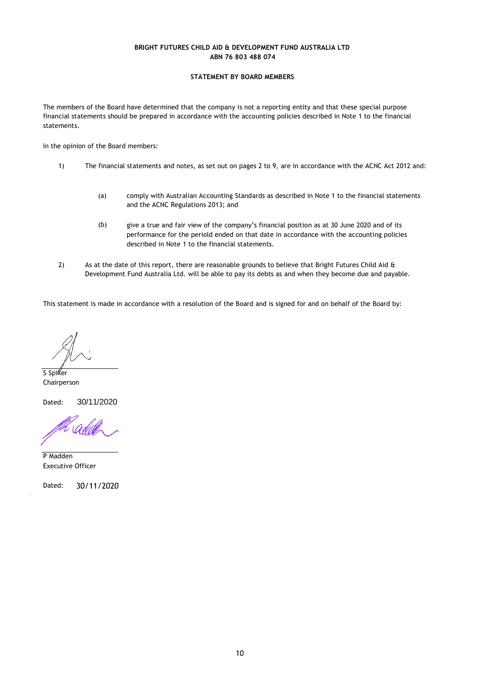## **STATEMENT BY BOARD MEMBERS**

The members of the Board have determined that the company is not a reporting entity and that these special purpose financial statements should be prepared in accordance with the accounting policies described in Note 1 to the financial statements.

In the opinion of the Board members:

- 1) The financial statements and notes, as set out on pages 2 to 9, are in accordance with the ACNC Act 2012 and:
	- (a) comply with Australian Accounting Standards as described in Note 1 to the financial statements and the ACNC Regulations 2013; and
	- (b) give a true and fair view of the company's financial position as at 30 June 2020 and of its performance for the periold ended on that date in accordance with the accounting policies described in Note 1 to the financial statements.
- 2) As at the date of this report, there are reasonable grounds to believe that Bright Futures Child Aid & Development Fund Australia Ltd. will be able to pay its debts as and when they become due and payable.

This statement is made in accordance with a resolution of the Board and is signed for and on behalf of the Board by:

S Spiker Chairperson

Dated: 30/11/2020

P Madden Executive Officer

Dated: 30/11/2020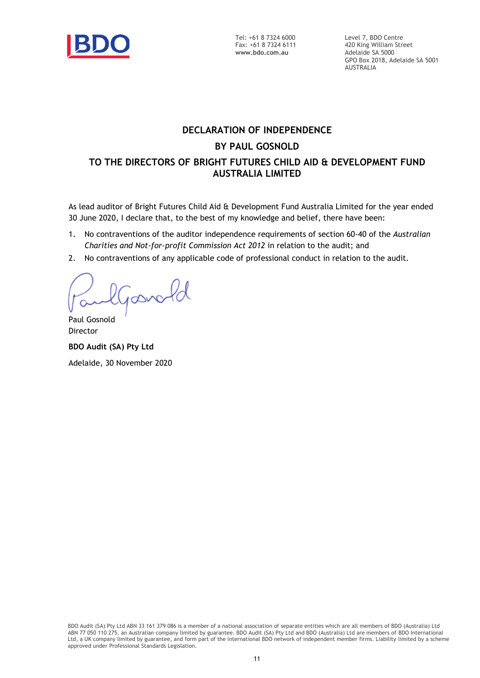

Tel: +61 8 7324 6000 Fax: +61 8 7324 6111 **www.bdo.com.au**

Level 7, BDO Centre 420 King William Street Adelaide SA 5000 GPO Box 2018, Adelaide SA 5001 AUSTRALIA

# **DECLARATION OF INDEPENDENCE BY PAUL GOSNOLD TO THE DIRECTORS OF BRIGHT FUTURES CHILD AID & DEVELOPMENT FUND AUSTRALIA LIMITED**

As lead auditor of Bright Futures Child Aid & Development Fund Australia Limited for the year ended 30 June 2020, I declare that, to the best of my knowledge and belief, there have been:

- 1. No contraventions of the auditor independence requirements of section 60-40 of the *Australian Charities and Not-for-profit Commission Act 2012* in relation to the audit; and
- 2. No contraventions of any applicable code of professional conduct in relation to the audit.

Goovald

Paul Gosnold Director

**BDO Audit (SA) Pty Ltd** Adelaide, 30 November 2020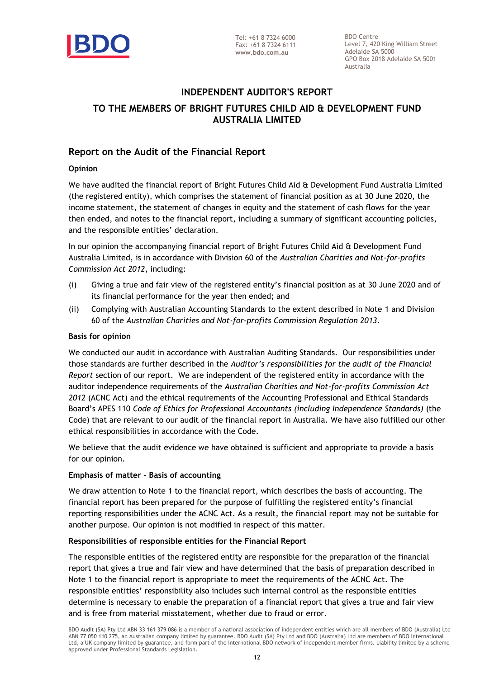

BDO Centre Level 7, 420 King William Street Adelaide SA 5000 GPO Box 2018 Adelaide SA 5001 Australia

# **INDEPENDENT AUDITOR'S REPORT TO THE MEMBERS OF BRIGHT FUTURES CHILD AID & DEVELOPMENT FUND AUSTRALIA LIMITED**

# **Report on the Audit of the Financial Report**

# **Opinion**

We have audited the financial report of Bright Futures Child Aid & Development Fund Australia Limited (the registered entity), which comprises the statement of financial position as at 30 June 2020, the income statement, the statement of changes in equity and the statement of cash flows for the year then ended, and notes to the financial report, including a summary of significant accounting policies, and the responsible entities' declaration.

In our opinion the accompanying financial report of Bright Futures Child Aid & Development Fund Australia Limited, is in accordance with Division 60 of the *Australian Charities and Not-for-profits Commission Act 2012*, including:

- (i) Giving a true and fair view of the registered entity's financial position as at 30 June 2020 and of its financial performance for the year then ended; and
- (ii) Complying with Australian Accounting Standards to the extent described in Note 1 and Division 60 of the *Australian Charities and Not-for-profits Commission Regulation 2013*.

# **Basis for opinion**

We conducted our audit in accordance with Australian Auditing Standards. Our responsibilities under those standards are further described in the *Auditor's responsibilities for the audit of the Financial Report* section of our report. We are independent of the registered entity in accordance with the auditor independence requirements of the *Australian Charities and Not-for-profits Commission Act 2012* (ACNC Act) and the ethical requirements of the Accounting Professional and Ethical Standards Board's APES 110 *Code of Ethics for Professional Accountants (including Independence Standards)* (the Code) that are relevant to our audit of the financial report in Australia. We have also fulfilled our other ethical responsibilities in accordance with the Code.

We believe that the audit evidence we have obtained is sufficient and appropriate to provide a basis for our opinion.

# **Emphasis of matter – Basis of accounting**

We draw attention to Note 1 to the financial report, which describes the basis of accounting. The financial report has been prepared for the purpose of fulfilling the registered entity's financial reporting responsibilities under the ACNC Act. As a result, the financial report may not be suitable for another purpose. Our opinion is not modified in respect of this matter.

# **Responsibilities of responsible entities for the Financial Report**

The responsible entities of the registered entity are responsible for the preparation of the financial report that gives a true and fair view and have determined that the basis of preparation described in Note 1 to the financial report is appropriate to meet the requirements of the ACNC Act. The responsible entities' responsibility also includes such internal control as the responsible entities determine is necessary to enable the preparation of a financial report that gives a true and fair view and is free from material misstatement, whether due to fraud or error.